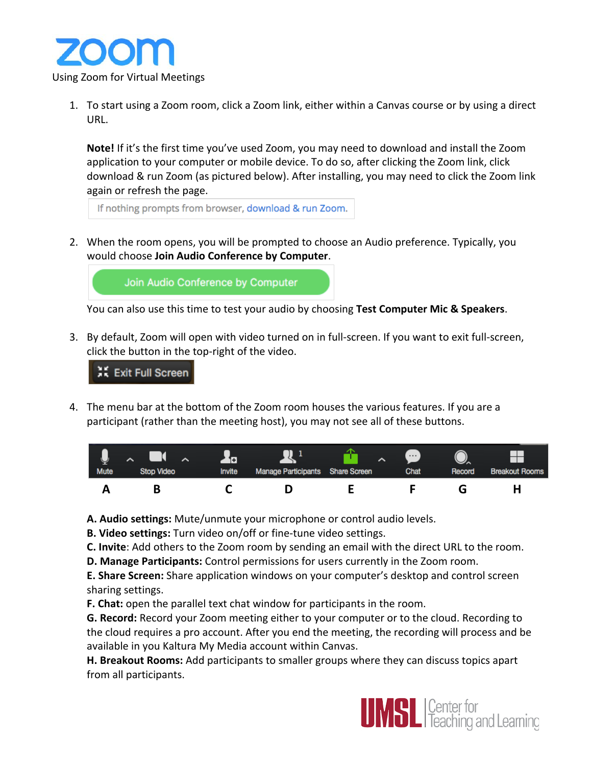

1. To start using a Zoom room, click a Zoom link, either within a Canvas course or by using a direct URL.

**Note!** If it's the first time you've used Zoom, you may need to download and install the Zoom application to your computer or mobile device. To do so, after clicking the Zoom link, click download & run Zoom (as pictured below). After installing, you may need to click the Zoom link again or refresh the page.

If nothing prompts from browser, download & run Zoom.

2. When the room opens, you will be prompted to choose an Audio preference. Typically, you would choose **Join Audio Conference by Computer**.

Join Audio Conference by Computer

You can also use this time to test your audio by choosing Test Computer Mic & Speakers.

3. By default, Zoom will open with video turned on in full-screen. If you want to exit full-screen, click the button in the top-right of the video.

រី Exit Full Screen

4. The menu bar at the bottom of the Zoom room houses the various features. If you are a participant (rather than the meeting host), you may not see all of these buttons.

|             | $\sim$            | $\mathbf{F}$ |                                  | $\cdots$ |        |                       |
|-------------|-------------------|--------------|----------------------------------|----------|--------|-----------------------|
| <b>Mute</b> | <b>Stop Video</b> | Invite       | Manage Participants Share Screen | Chat     | Record | <b>Breakout Rooms</b> |
|             |                   |              |                                  |          |        |                       |

A. Audio settings: Mute/unmute your microphone or control audio levels.

**B. Video settings:** Turn video on/off or fine-tune video settings.

**C. Invite**: Add others to the Zoom room by sending an email with the direct URL to the room.

**D. Manage Participants:** Control permissions for users currently in the Zoom room.

**E. Share Screen:** Share application windows on your computer's desktop and control screen sharing settings.

**F. Chat:** open the parallel text chat window for participants in the room.

**G. Record:** Record your Zoom meeting either to your computer or to the cloud. Recording to the cloud requires a pro account. After you end the meeting, the recording will process and be available in you Kaltura My Media account within Canvas.

**H. Breakout Rooms:** Add participants to smaller groups where they can discuss topics apart from all participants.